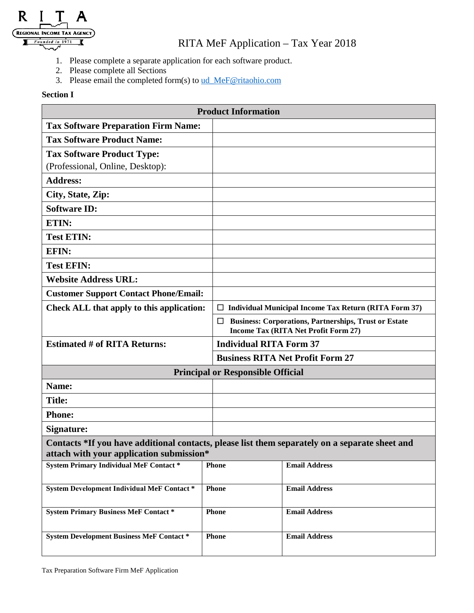

## RITA MeF Application – Tax Year 2018

- 1. Please complete a separate application for each software product.
- 2. Please complete all Sections
- 3. Please email the completed form(s) to [ud\\_MeF@ritaohio.com](mailto:ud_MeF@ritaohio.com)

## **Section I**

| <b>Product Information</b>                                                                     |              |                                                              |  |  |
|------------------------------------------------------------------------------------------------|--------------|--------------------------------------------------------------|--|--|
| <b>Tax Software Preparation Firm Name:</b>                                                     |              |                                                              |  |  |
| <b>Tax Software Product Name:</b>                                                              |              |                                                              |  |  |
| <b>Tax Software Product Type:</b>                                                              |              |                                                              |  |  |
| (Professional, Online, Desktop):                                                               |              |                                                              |  |  |
| <b>Address:</b>                                                                                |              |                                                              |  |  |
| City, State, Zip:                                                                              |              |                                                              |  |  |
| <b>Software ID:</b>                                                                            |              |                                                              |  |  |
| ETIN:                                                                                          |              |                                                              |  |  |
| <b>Test ETIN:</b>                                                                              |              |                                                              |  |  |
| <b>EFIN:</b>                                                                                   |              |                                                              |  |  |
| <b>Test EFIN:</b>                                                                              |              |                                                              |  |  |
| <b>Website Address URL:</b>                                                                    |              |                                                              |  |  |
| <b>Customer Support Contact Phone/Email:</b>                                                   |              |                                                              |  |  |
| Check ALL that apply to this application:                                                      |              | $\Box$ Individual Municipal Income Tax Return (RITA Form 37) |  |  |
|                                                                                                |              | <b>Business: Corporations, Partnerships, Trust or Estate</b> |  |  |
|                                                                                                |              | Income Tax (RITA Net Profit Form 27)                         |  |  |
| <b>Estimated # of RITA Returns:</b>                                                            |              | <b>Individual RITA Form 37</b>                               |  |  |
|                                                                                                |              | <b>Business RITA Net Profit Form 27</b>                      |  |  |
| <b>Principal or Responsible Official</b>                                                       |              |                                                              |  |  |
| Name:                                                                                          |              |                                                              |  |  |
| <b>Title:</b>                                                                                  |              |                                                              |  |  |
| <b>Phone:</b>                                                                                  |              |                                                              |  |  |
| Signature:                                                                                     |              |                                                              |  |  |
| Contacts *If you have additional contacts, please list them separately on a separate sheet and |              |                                                              |  |  |
| attach with your application submission*                                                       |              |                                                              |  |  |
| <b>System Primary Individual MeF Contact *</b>                                                 | <b>Phone</b> | <b>Email Address</b>                                         |  |  |
| <b>System Development Individual MeF Contact *</b>                                             | <b>Phone</b> | <b>Email Address</b>                                         |  |  |
| <b>System Primary Business MeF Contact *</b>                                                   | Phone        | <b>Email Address</b>                                         |  |  |
| <b>System Development Business MeF Contact *</b>                                               | <b>Phone</b> | <b>Email Address</b>                                         |  |  |